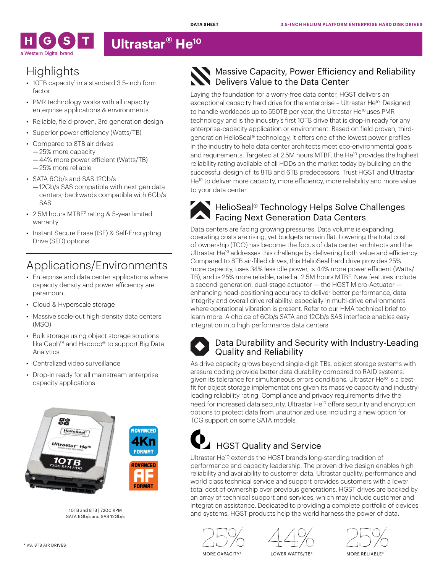

# **Ultrastar® He10**

## **Highlights**

- $\cdot$  10TB capacity<sup>1</sup> in a standard 3.5-inch form factor
- PMR technology works with all capacity enterprise applications & environments
- Reliable, field-proven, 3rd generation design
- Superior power efficiency (Watts/TB)
- Compared to 8TB air drives —25% more capacity
	- —44% more power efficient (Watts/TB) —25% more reliable
- SATA 6Gb/s and SAS 12Gb/s —12Gb/s SAS compatible with next gen data centers; backwards compatible with 6Gb/s SAS
- 2.5M hours MTBF<sup>2</sup> rating & 5-year limited warranty
- Instant Secure Erase (ISE) & Self-Encrypting Drive (SED) options

# Applications/Environments

- Enterprise and data center applications where capacity density and power efficiency are paramount
- Cloud & Hyperscale storage
- Massive scale-out high-density data centers (MSO)
- Bulk storage using object storage solutions like Ceph™ and Hadoop® to support Big Data Analytics
- Centralized video surveillance
- Drop-in ready for all mainstream enterprise capacity applications



10TB and 8TB | 7200 RPM SATA 6Gb/s and SAS 12Gb/s

### Massive Capacity, Power Efficiency and Reliability Delivers Value to the Data Center

Laying the foundation for a worry-free data center, HGST delivers an exceptional capacity hard drive for the enterprise - Ultrastar He<sup>10</sup>. Designed to handle workloads up to 550TB per year, the Ultrastar He<sup>10</sup> uses PMR technology and is the industry's first 10TB drive that is drop-in ready for any enterprise-capacity application or environment. Based on field proven, thirdgeneration HelioSeal® technology, it offers one of the lowest power profiles in the industry to help data center architects meet eco-environmental goals and requirements. Targeted at 2.5M hours MTBF, the He<sup>10</sup> provides the highest reliability rating available of all HDDs on the market today by building on the successful design of its 8TB and 6TB predecessors. Trust HGST and Ultrastar He<sup>10</sup> to deliver more capacity, more efficiency, more reliability and more value to your data center.

#### $\frac{1}{2}$  HelioSeal® Technology Helps Solve Challenges **Facing Next Generation Data Centers**

Data centers are facing growing pressures. Data volume is expanding, operating costs are rising, yet budgets remain flat. Lowering the total cost of ownership (TCO) has become the focus of data center architects and the Ultrastar He<sup>10</sup> addresses this challenge by delivering both value and efficiency. Compared to 8TB air-filled drives, this HelioSeal hard drive provides 25% more capacity, uses 34% less idle power, is 44% more power efficient (Watts/ TB), and is 25% more reliable, rated at 2.5M hours MTBF. New features include a second-generation, dual-stage actuator — the HGST Micro-Actuator enhancing head-positioning accuracy to deliver better performance, data integrity and overall drive reliability, especially in multi-drive environments where operational vibration is present. Refer to our HMA technical brief to learn more. A choice of 6Gb/s SATA and 12Gb/s SAS interface enables easy integration into high performance data centers.



#### Data Durability and Security with Industry-Leading Quality and Reliability

As drive capacity grows beyond single-digit TBs, object storage systems with erasure coding provide better data durability compared to RAID systems, given its tolerance for simultaneous errors conditions. Ultrastar He<sup>10</sup> is a bestfit for object storage implementations given its massive capacity and industryleading reliability rating. Compliance and privacy requirements drive the need for increased data security. Ultrastar He<sup>10</sup> offers security and encryption options to protect data from unauthorized use, including a new option for TCG support on some SATA models.

# $\overline{\phantom{a}}$  HGST Quality and Service

Ultrastar He10 extends the HGST brand's long-standing tradition of performance and capacity leadership. The proven drive design enables high reliability and availability to customer data. Ultrastar quality, performance and world class technical service and support provides customers with a lower total cost of ownership over previous generations. HGST drives are backed by an array of technical support and services, which may include customer and integration assistance. Dedicated to providing a complete portfolio of devices and systems, HGST products help the world harness the power of data.







MORE CAPACITY\*

LOWER WATTS/TB\*